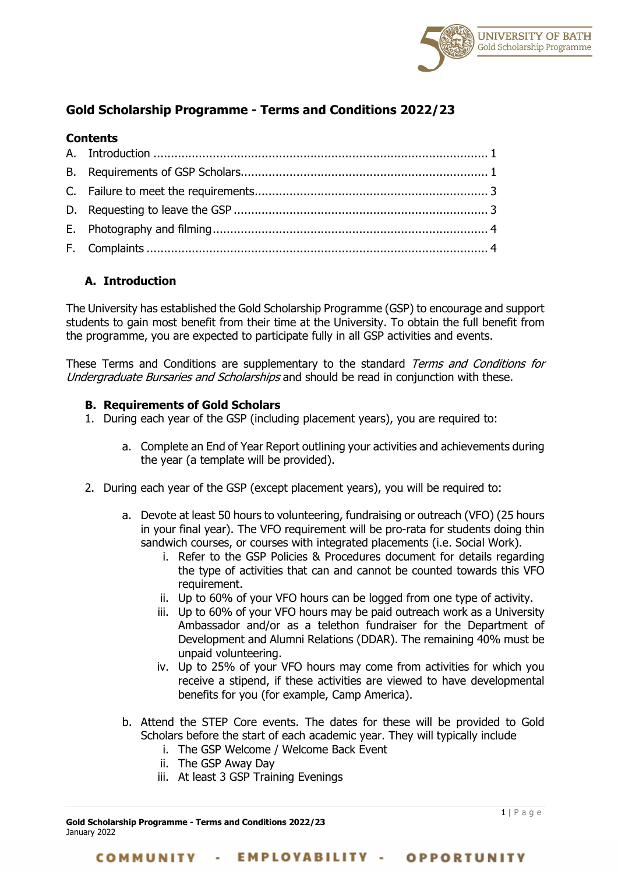

# **Gold Scholarship Programme - Terms and Conditions 2022/23**

### **Contents**

## <span id="page-0-0"></span>**A. Introduction**

The University has established the Gold Scholarship Programme (GSP) to encourage and support students to gain most benefit from their time at the University. To obtain the full benefit from the programme, you are expected to participate fully in all GSP activities and events.

These Terms and Conditions are supplementary to the standard Terms and Conditions for Undergraduate Bursaries and Scholarships and should be read in conjunction with these.

#### <span id="page-0-1"></span>**B. Requirements of Gold Scholars**

- 1. During each year of the GSP (including placement years), you are required to:
	- a. Complete an End of Year Report outlining your activities and achievements during the year (a template will be provided).
- 2. During each year of the GSP (except placement years), you will be required to:
	- a. Devote at least 50 hours to volunteering, fundraising or outreach (VFO) (25 hours in your final year). The VFO requirement will be pro-rata for students doing thin sandwich courses, or courses with integrated placements (i.e. Social Work).
		- i. Refer to the GSP Policies & Procedures document for details regarding the type of activities that can and cannot be counted towards this VFO requirement.
		- ii. Up to 60% of your VFO hours can be logged from one type of activity.
		- iii. Up to 60% of your VFO hours may be paid outreach work as a University Ambassador and/or as a telethon fundraiser for the Department of Development and Alumni Relations (DDAR). The remaining 40% must be unpaid volunteering.
		- iv. Up to 25% of your VFO hours may come from activities for which you receive a stipend, if these activities are viewed to have developmental benefits for you (for example, Camp America).
	- b. Attend the STEP Core events. The dates for these will be provided to Gold Scholars before the start of each academic year. They will typically include
		- i. The GSP Welcome / Welcome Back Event
		- ii. The GSP Away Day
		- iii. At least 3 GSP Training Evenings

**Gold Scholarship Programme - Terms and Conditions 2022/23** January 2022

1 | Page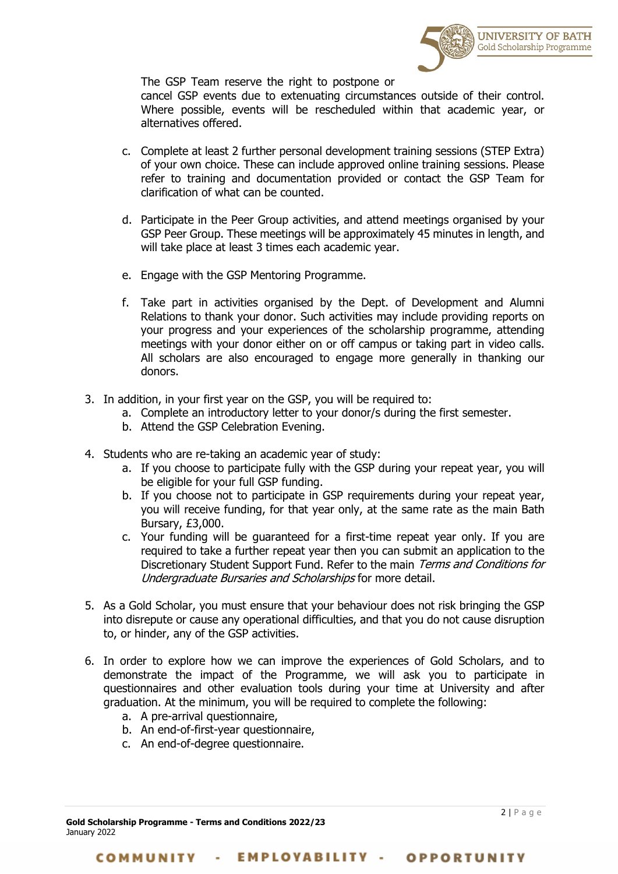

The GSP Team reserve the right to postpone or

cancel GSP events due to extenuating circumstances outside of their control. Where possible, events will be rescheduled within that academic year, or alternatives offered.

- c. Complete at least 2 further personal development training sessions (STEP Extra) of your own choice. These can include approved online training sessions. Please refer to training and documentation provided or contact the GSP Team for clarification of what can be counted.
- d. Participate in the Peer Group activities, and attend meetings organised by your GSP Peer Group. These meetings will be approximately 45 minutes in length, and will take place at least 3 times each academic year.
- e. Engage with the GSP Mentoring Programme.
- f. Take part in activities organised by the Dept. of Development and Alumni Relations to thank your donor. Such activities may include providing reports on your progress and your experiences of the scholarship programme, attending meetings with your donor either on or off campus or taking part in video calls. All scholars are also encouraged to engage more generally in thanking our donors.
- 3. In addition, in your first year on the GSP, you will be required to:
	- a. Complete an introductory letter to your donor/s during the first semester.
	- b. Attend the GSP Celebration Evening.
- 4. Students who are re-taking an academic year of study:
	- a. If you choose to participate fully with the GSP during your repeat year, you will be eligible for your full GSP funding.
	- b. If you choose not to participate in GSP requirements during your repeat year, you will receive funding, for that year only, at the same rate as the main Bath Bursary, £3,000.
	- c. Your funding will be guaranteed for a first-time repeat year only. If you are required to take a further repeat year then you can submit an application to the Discretionary Student Support Fund. Refer to the main Terms and Conditions for Undergraduate Bursaries and Scholarships for more detail.
- 5. As a Gold Scholar, you must ensure that your behaviour does not risk bringing the GSP into disrepute or cause any operational difficulties, and that you do not cause disruption to, or hinder, any of the GSP activities.
- 6. In order to explore how we can improve the experiences of Gold Scholars, and to demonstrate the impact of the Programme, we will ask you to participate in questionnaires and other evaluation tools during your time at University and after graduation. At the minimum, you will be required to complete the following:
	- a. A pre-arrival questionnaire,
	- b. An end-of-first-year questionnaire,
	- c. An end-of-degree questionnaire.

**Gold Scholarship Programme - Terms and Conditions 2022/23** January 2022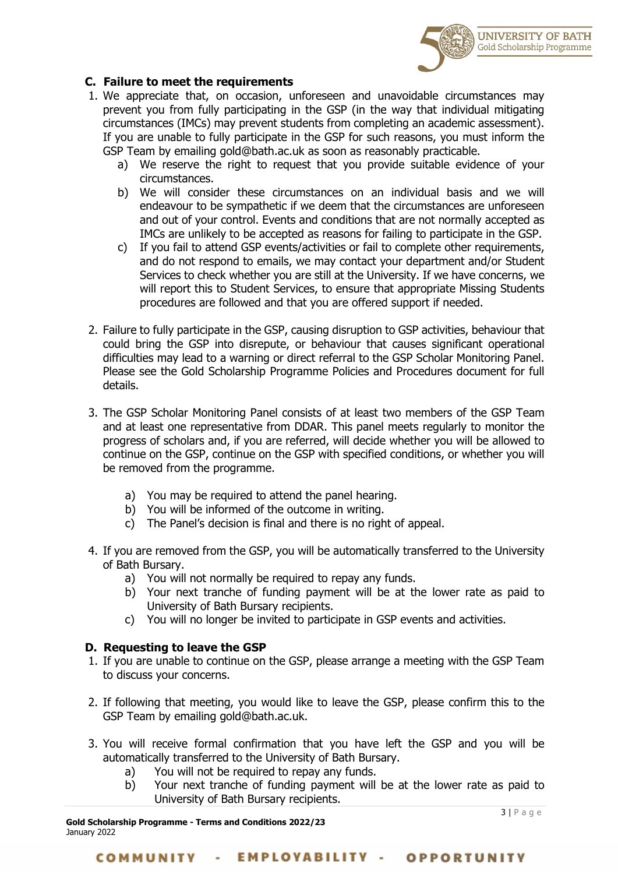

#### <span id="page-2-0"></span>**C. Failure to meet the requirements**

- 1. We appreciate that, on occasion, unforeseen and unavoidable circumstances may prevent you from fully participating in the GSP (in the way that individual mitigating circumstances (IMCs) may prevent students from completing an academic assessment). If you are unable to fully participate in the GSP for such reasons, you must inform the GSP Team by emailing gold@bath.ac.uk as soon as reasonably practicable.
	- a) We reserve the right to request that you provide suitable evidence of your circumstances.
	- b) We will consider these circumstances on an individual basis and we will endeavour to be sympathetic if we deem that the circumstances are unforeseen and out of your control. Events and conditions that are not normally accepted as IMCs are unlikely to be accepted as reasons for failing to participate in the GSP.
	- c) If you fail to attend GSP events/activities or fail to complete other requirements, and do not respond to emails, we may contact your department and/or Student Services to check whether you are still at the University. If we have concerns, we will report this to Student Services, to ensure that appropriate Missing Students procedures are followed and that you are offered support if needed.
- 2. Failure to fully participate in the GSP, causing disruption to GSP activities, behaviour that could bring the GSP into disrepute, or behaviour that causes significant operational difficulties may lead to a warning or direct referral to the GSP Scholar Monitoring Panel. Please see the Gold Scholarship Programme Policies and Procedures document for full details.
- 3. The GSP Scholar Monitoring Panel consists of at least two members of the GSP Team and at least one representative from DDAR. This panel meets regularly to monitor the progress of scholars and, if you are referred, will decide whether you will be allowed to continue on the GSP, continue on the GSP with specified conditions, or whether you will be removed from the programme.
	- a) You may be required to attend the panel hearing.
	- b) You will be informed of the outcome in writing.
	- c) The Panel's decision is final and there is no right of appeal.
- 4. If you are removed from the GSP, you will be automatically transferred to the University of Bath Bursary.
	- a) You will not normally be required to repay any funds.
	- b) Your next tranche of funding payment will be at the lower rate as paid to University of Bath Bursary recipients.
	- c) You will no longer be invited to participate in GSP events and activities.

#### <span id="page-2-1"></span>**D. Requesting to leave the GSP**

- 1. If you are unable to continue on the GSP, please arrange a meeting with the GSP Team to discuss your concerns.
- 2. If following that meeting, you would like to leave the GSP, please confirm this to the GSP Team by emailing gold@bath.ac.uk.
- 3. You will receive formal confirmation that you have left the GSP and you will be automatically transferred to the University of Bath Bursary.
	- a) You will not be required to repay any funds.
	- b) Your next tranche of funding payment will be at the lower rate as paid to University of Bath Bursary recipients.

**Gold Scholarship Programme - Terms and Conditions 2022/23** January 2022